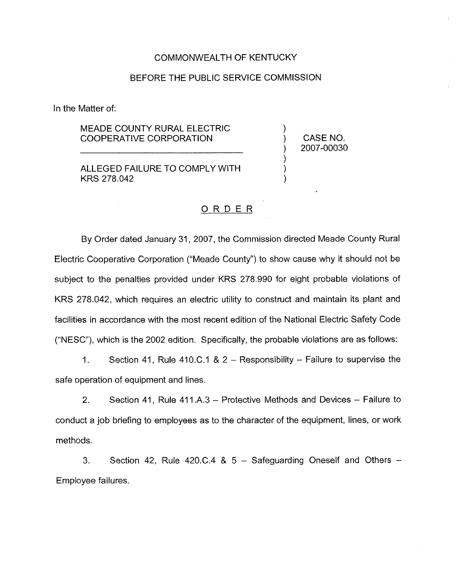#### COMMONWEALTH OF KENTUCKY

#### BEFORE THE PUBLIC SERVICE COMMISSION

In the Matter of:

### MEADE COUNTY RURAL ELECTRIC COOPERATIVE CORPORATION

ALLEGED FAILURE TO COMPLY WITH KRS 278.042

) CASE NO.<br>) 2007-00030 ) 2007-00030

)<br>)

) ) )

### ORDER

By Order dated January 31, 2007, the Commission directed Meade County Rural Electric Cooperative Corporation ("Meade County") to show cause why it should not be subject to the penalties provided under KRS 278.990 for eight probable violations of KRS 278.042, which requires an electric utility to construct and maintain its plant and facilities in accordance with the most recent edition of the National Electric Safety Code ("NESC"), which is the 2002 edition. Specifically, the probable violations are as follows:

1. Section 41, Rule 410.C.1 <sup>8</sup> 2 —Responsibility —Failure to supervise the safe operation of equipment and lines.

2. Section 41, Rule 411.A.3—Protective Methods and Devices —Failure to conduct a job briefing to employees as to the character of the equipment, lines, or work methods.

3. Section 42, Rule 420.C.4 & 5 - Safeguarding Oneself and Others -Employee failures.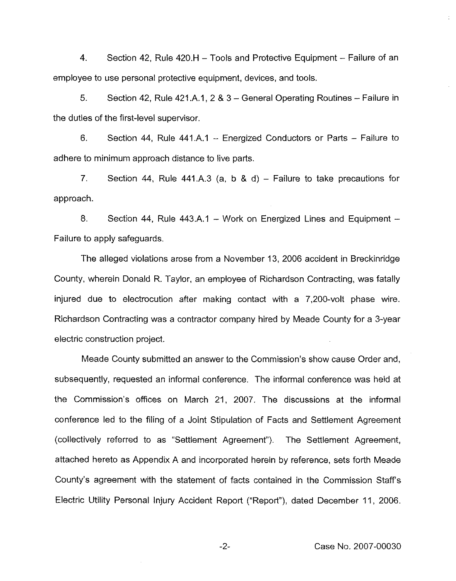4. Section 42, Rule 420.H —Tools and Protective Equipment —Failure of an employee to use personal protective equipment, devices, and tools.

5. Section 42, Rule 421.A.1, 2 8 3 —General Operating Routines —Failure in the duties of the first-level supervisor.

6. Section 44, Rule 441,A.1 —Energized Conductors or Parts —Failure to adhere to minimum approach distance to live parts.

7. Section 44, Rule 441.A.3 (a, b & d) – Failure to take precautions for approach.

8. Section 44, Rule 443.A.1 —Work on Energized Lines and Equipment— Failure to apply safeguards.

The alleged violations arose from a November 13, 2006 accident in Breckinridge County, wherein Donald R. Taylor, an employee of Richardson Contracting, was fatally injured due to electrocution after making contact with a 7,200-volt phase wire. Richardson Contracting was a contractor company hired by Meade County for a 3-year electric construction project.

Meade County submitted an answer to the Commission's show cause Order and, subsequently, requested an informal conference. The informal conference was held at the Commission's offices on March 21, 2007, The discussions at the informal conference led to the filing of a Joint Stipulation of Facts and Settlement Agreement (collectively referred to as "Settlement Agreement" ). The Settlement Agreement, attached hereto as Appendix A and incorporated herein by reference, sets forth Meade County's agreement with the statement of facts contained in the Commission Staff's Electric Utility Personal Injury Accident Report ("Report" ), dated December 11, 2006.

 $-2-$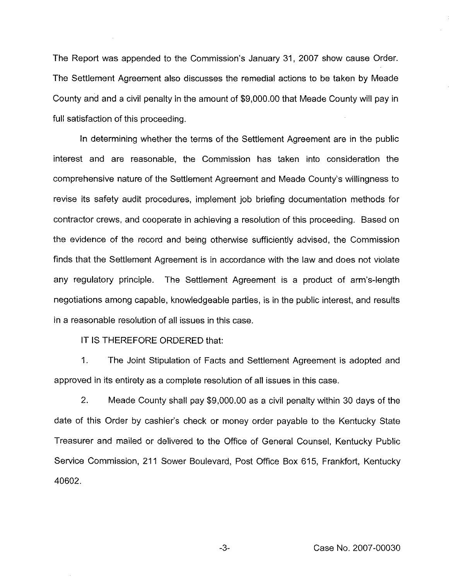The Report was appended to the Commission's January 31, 2007 show cause Order. The Settlement Agreement also discusses the remedial actions to be taken by Meade County and and a civil penalty in the amount of \$9,000.00that Meade County will pay in full satisfaction of this proceeding.

In determining whether the terms of the Settlement Agreement are in the public interest and are reasonable, the Commission has taken into consideration the comprehensive nature of the Settlement Agreement and Meade County's willingness to revise its safety audit procedures, implement job briefing documentation methods for contractor crews, and cooperate in achieving a resolution of this proceeding. Based on the evidence of the record and being otherwise sufficiently advised, the Commission finds that the Settlement Agreement is in accordance with the law and does not violate any regulatory principle. The Settlement Agreement is a product of arm's-length negotiations among capable, knowledgeable parties, is in the public interest, and results in a reasonable resolution of all issues in this case.

IT IS THEREFORE ORDERED that:

1. The Joint Stipulation of Facts and Settlement Agreement is adopted and approved in its entirety as a complete resolution of all issues in this case.

2. Meade County shall pay \$9,000.00 as a civil penalty within 30 days of the date of this Order by cashier's check or money order payable to the Kentucky State Treasurer and mailed or delivered to the Office of General Counsel, Kentucky Public Service Commission, 211 Sower Boulevard, Post Office Box 615, Frankfort, Kentucky 40602.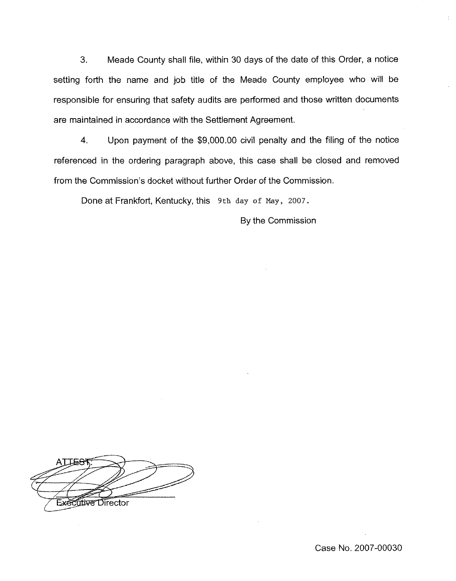3. Meade County shall file, within 30 days of the date of this Order, a notice setting forth the name and job title of the Meade County employee who will be responsible for ensuring that safety audits are performed and those written documents are maintained in accordance with the Settlement Agreement.

4. Upon payment of the \$9,000.00 civil penalty and the filing of the notice referenced in the ordering paragraph above, this case shall be closed and removed from the Commission's docket without further Order of the Commission.

Done at Frankfort, Kentucky, this 9th day of May, 2007.

By the Commission

 $\overline{\phantom{a}}$ Executive Director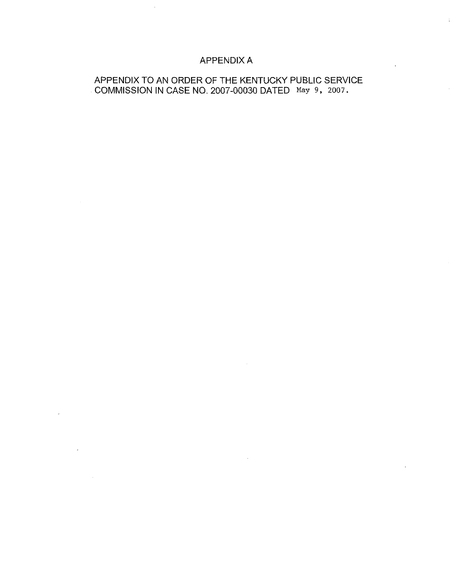## APPENDIX A

### APPENDIX TO AN ORDER OF THE KENTUCKY PUBLIC SERVICE COMMISSION IN CASE NO. 2007-00030 DATED May 9, 2007.

 $\overline{\phantom{a}}$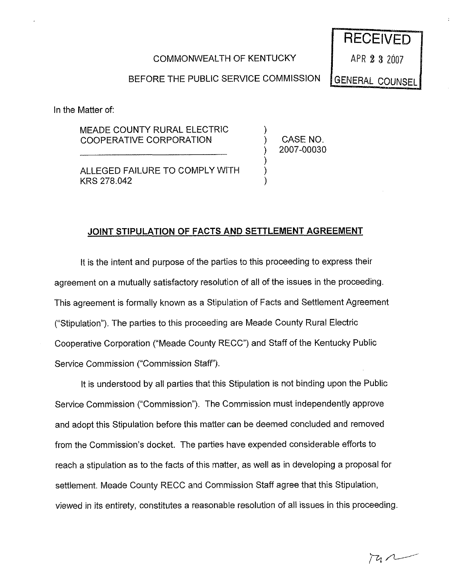### COMMONWEALTH OF KENTUCKY

RECEIVED

APR 2 3 2007

**GENERAL COUNSEL** 

BEFORE THE PUBLIC SERVICE COMMISSION

In the Matter of:

MEADE COUNTY RURAL ELECTRIC COOPERATIVE CORPORATION

) CASE NO. ) 2007-00030

)

) ) )

ALLEGED FAILURE TO COMPLY WITH KRS 278.042

## JOINT STIPULATION OF FACTS AND SETTLEMENT AGREEMENT

It is the intent and purpose of the parties to this proceeding to express their agreement on a mutually satisfactory resolution of all of the issues in the proceeding. This agreement is formally known as a Stipulation of Facts and Settlement Agreement ("Stipulation"). The parties to this proceeding are Meade County Rural Electric Cooperative Corporation ("Meade County RECC'\*) and Staff of the Kentucky Public Service Commission ("Commission Staff").

It is understood by all parties that this Stipulation is not binding upon the Public Service Commission ("Commission"). The Commission must independently approve and adopt this Stipulation before this matter can be deemed concluded and removed from the Commission's docket. The parties have expended considerable efforts to reach a stipulation as to the facts of this matter, as well as in developing a proposal for settlement. Meade County RECC and Commission Staff agree that this Stipulation, viewed in its entirety, constitutes a reasonable resolution of all issues in this proceeding.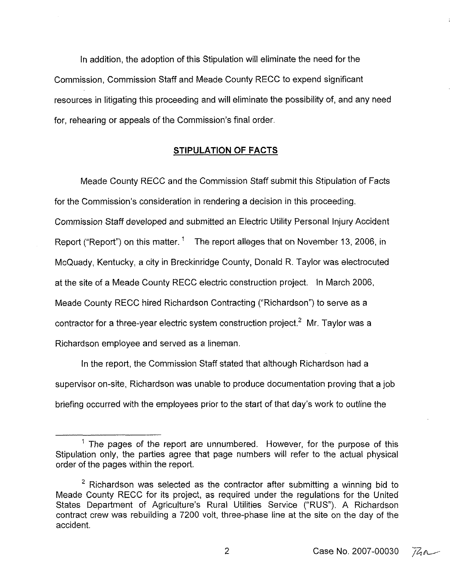In addition, the adoption of this Stipulation wiil eliminate the need for the Commission, Commission Staff and Meade County RECC to expend significant resources in litigating this proceeding and will eliminate the possibility of, and any need for, rehearing or appeals of the Commission's final order.

### STIPULATION OF FACTS

Meade County RECC and the Commission Staff submit this Stipulation of Facts for the Commission's consideration in rendering a decision in this proceeding. Commission Staff developed and submitted an Electric Utility Personal Injury Accident Report ("Report") on this matter.<sup>1</sup> The report alleges that on November 13, 2006, in McQuady, Kentucky, a city in Breckinridge County, Donald R. Taylor was electrocuted at the site of a Meade County RECC electric construction project. In March 2006, Meade County RECC hired Richardson Contracting ("Richardson") to serve as a contractor for a three-year electric system construction project.<sup>2</sup> Mr. Taylor was a Richardson employee and served as a lineman,

In the report, the Commission Staff stated that although Richardson had a supervisor on-site, Richardson was unable to produce documentation proving that a job briefing occurred with the employees prior to the start of that day's work to outline the

Case No. 2007-00030  $\sqrt{a}$ 

 $<sup>1</sup>$  The pages of the report are unnumbered. However, for the purpose of this</sup> Stipulation only, the parties agree that page numbers will refer to the actual physical order of the pages within the report.

 $2$  Richardson was selected as the contractor after submitting a winning bid to Meade County RECC for its project, as required under the regulations for the United States Department of Agriculture's Rural Utilities Service ("RUS"). A Richardson contract crew was rebuilding a 7200 volt, three-phase line at the site on the day of the accident.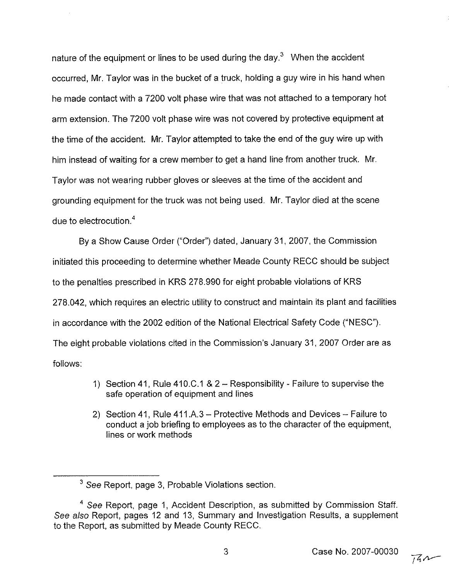nature of the equipment or lines to be used during the day. $3$  When the accident occurred, Mr. Taylor was in the bucket of a truck, holding a guy wire in his hand when he made contact with a 7200 volt phase wire that was not attached to a temporary hot arm extension. The 7200 volt phase wire was not covered by protective equipment at the time of the accident. Mr. Taylor attempted to take the end of the guy wire up with him instead of waiting for a crew member to get a hand line from another truck. Mr, Taylor was not wearing rubber gloves or sleeves at the time of the accident and grounding equipment for the truck was not being used. Mr. Taylor died at the scene due to electrocution. $<sup>4</sup>$ </sup>

By a Show Cause Order ("Order") dated, January 31, 2007, the Commission initiated this proceeding to determine whether Meade County RECC should be subject to the penalties prescribed in KRS 278.990 for eight probable violations of KRS 278.042, which requires an electric utility to construct and maintain its plant and facilities in accordance with the 2002 edition of the National Electrical Safety Code ("NESC"). The eight probable violations cited in the Commission's January 31, 2007 Order are as follows:

- 1) Section 41, Rule 410,C.1 <sup>8</sup> <sup>2</sup> —Responsibility Failure to supervise the safe operation of equipment and lines
- 2) Section 41, Rule 411.A.3—Protective Methods and Devices —Failure to conduct a job briefing to employees as to the character of the equipment, lines or work methods

3

 $3$  See Report, page 3, Probable Violations section.

 $4$  See Report, page 1, Accident Description, as submitted by Commission Staff. See also Report, pages 12 and 13, Summary and Investigation Results, a supplement to the Report, as submitted by Meade County RECC.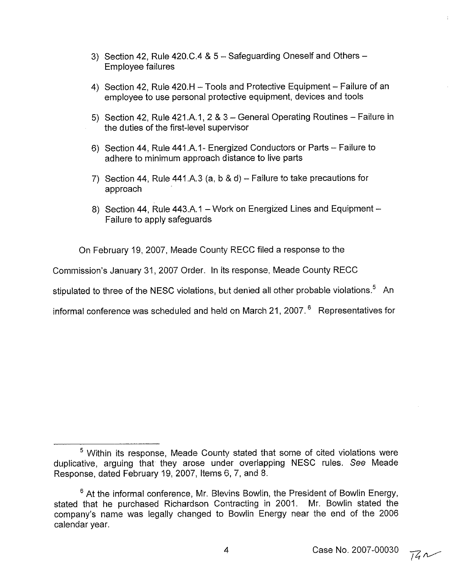- 3) Section 42, Rule 420.C.4 & 5 Safeguarding Oneself and Others -Employee failures
- 4) Section 42, Rule 420.H —Tools and Protective Equipment —Failure of an employee to use personal protective equipment, devices and tools
- 5) Section 42, Rule 421.A.1, <sup>2</sup> <sup>8</sup> <sup>3</sup> —General Operating Routines —Failure in the duties of the first-level supervisor
- 6) Section 44, Rule 441.A.i- Energized Conductors or Parts —Failure to adhere to minimum approach distance to live parts
- 7) Section 44, Rule 441.A.3 (a, b & d) Failure to take precautions for approach
- 8) Section 44, Rule 443.A.1 —Work on Energized Lines and Equipment— Failure to apply safeguards

On February 19, 2007, Meade County RECC filed a response to the

Commission's January 31, 2007 Order. In its response, Meade County RECC

stipulated to three of the NESC violations, but denied all other probable violations.<sup>5</sup> An

informal conference was scheduled and held on March 21, 2007. $^6$  Representatives for

<sup>&</sup>lt;sup>5</sup> Within its response. Meade County stated that some of cited violations were duplicative, arguing that they arose under overlapping NESC rules. See Meade Response, dated February 19, 2007, items 6, 7, and 8.

 $6$  At the informal conference, Mr, Blevins Bowlin, the President of Bowlin Energy, stated that he purchased Richardson Contracting in 2001. Mr. Bowlin stated the company's name was legally changed to Bowlin Energy near the end of the 2006 calendar year.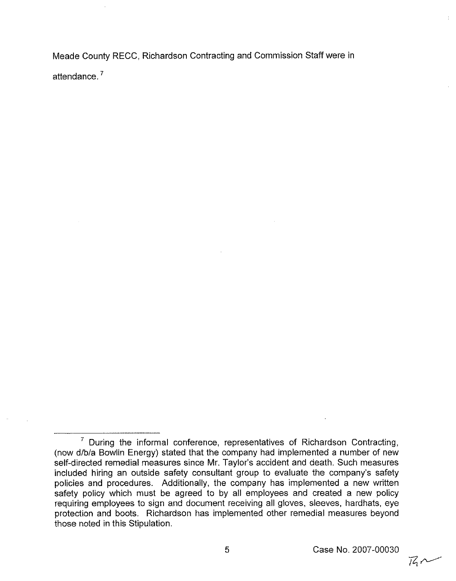Meade County RECC, Richardson Contracting and Commission Staff were in attendance,

 $761$ 

 $7$  During the informal conference, representatives of Richardson Contracting, (now d/b/a Bowlin Energy) stated that the company had implemented a number of new self-directed remedial measures since Mr. Taylor's accident and death. Such measures included hiring an outside safety consultant group to evaluate the company's safety policies and procedures. Additionally, the company has implemented a new written safety policy which must be agreed to by all employees and created a new policy requiring employees to sign and document receiving all gloves, sleeves, hardhats, eye protection and boots. Richardson has implemented other remedial measures beyond those noted in this Stipulation.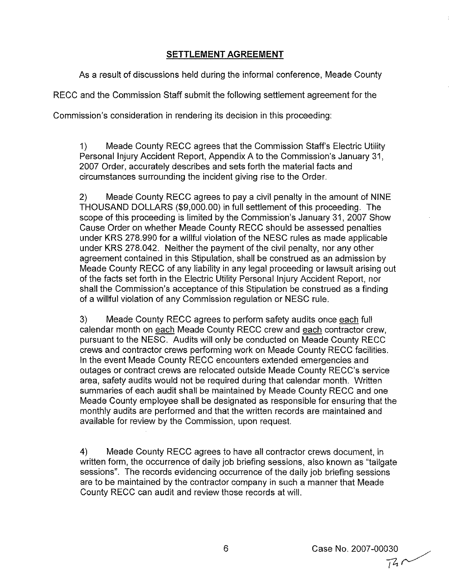### SETTLEMENT AGREEMENT

As a result of discussions held during the informal conference, Meade County

RECC and the Commission Staff submit the following settlement agreement for the

Commission's consideration in rendering its decision in this proceeding:

1) Meade County REGC agrees that the Commission Staff's Electric Utility Personal Injury Accident Report, Appendix A to the Commission's January 31, 2007 Order, accurately describes and sets forth the material facts and circumstances surrounding the incident giving rise to the Order.

2) Meade County RECC agrees to pay a civil penalty in the amount of NINE THOUSAND DOLLARS (\$9,000.00) in full settlement of this proceeding. The scope of this proceeding is limited by the Commission's January 31, 2007 Show Cause Order on whether Meade County RECC should be assessed penalties under KRS 278.990 for a willful violation of the NESC rules as made applicable under KRS 278.042. Neither the payment of the civil penalty, nor any other agreement contained in this Stipulation, shall be construed as an admission by Meade County RECC of any liability in any legal proceeding or lawsuit arising out of the facts set forth in the Electric Utility Personal Injury Accident Report, nor shall the Commission's acceptance of this Stipulation be construed as a finding of a willful violation of any Commission regulation or NESC rule.

3) Meade County RECC agrees to perform safety audits once each full calendar month on each Meade County RECC crew and each contractor crew, pursuant to the NESC, Audits will only be conducted on Meade County RECC crews and contractor crews performing work on Meade County RECC facilities. In the event Meade County RECC encounters extended emergencies and outages or contract crews are relocated outside Meade County RECC's service area, safety audits would not be required during that calendar month. Written summaries of each audit shall be maintained by Meade County RECC and one Meade County employee shall be designated as responsible for ensuring that the monthly audits are performed and that the written records are maintained and available for review by the Commission, upon request.

4) Meade County RECC agrees to have all contractor crews document, in written form, the occurrence of daily job briefing sessions, also known as "tailgate sessions". The records evidencing occurrence of the daily job briefing sessions are to be maintained by the contractor company in such a manner that Meade County RECC can audit and review those records at will.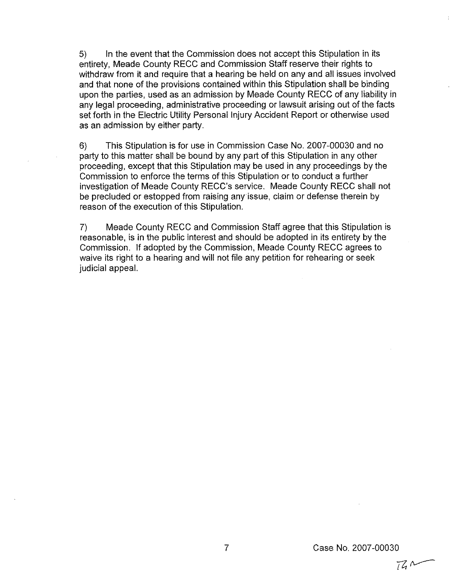5) In the event that the Commission does not accept this Stipulation in its entirety, Meade County RECC and Commission Staff reserve their rights to withdraw from it and require that a hearing be held on any and all issues involved and that none of the provisions contained within this Stipulation shall be binding upon the parties, used as an admission by Meade County RECC of any liability in any legal proceeding, administrative proceeding or lawsuit arising out of the facts set forth in the Electric Utility Personal Injury Accident Report or otherwise used as an admission by either party.

6) This Stipulation is for use in Commission Case No. 2007-00030 and no party to this matter shall be bound by any part of this Stipulation in any other proceeding, except that this Stipulation may be used in any proceedings by the Commission to enforce the terms of this Stipulation or to conduct a further investigation of Meade County RECC's service. Meade County RECC shall not be precluded or estopped from raising any issue, claim or defense therein by reason of the execution of this Stipulation.

7) Meade County RECC and Commission Staff agree that this Stipulation is reasonable, is in the public interest and should be adopted in its entirety by the Commission. If adopted by the Commission, Meade County RECC agrees to waive its right to a hearing and will not file any petition for rehearing or seek judicial appeal.